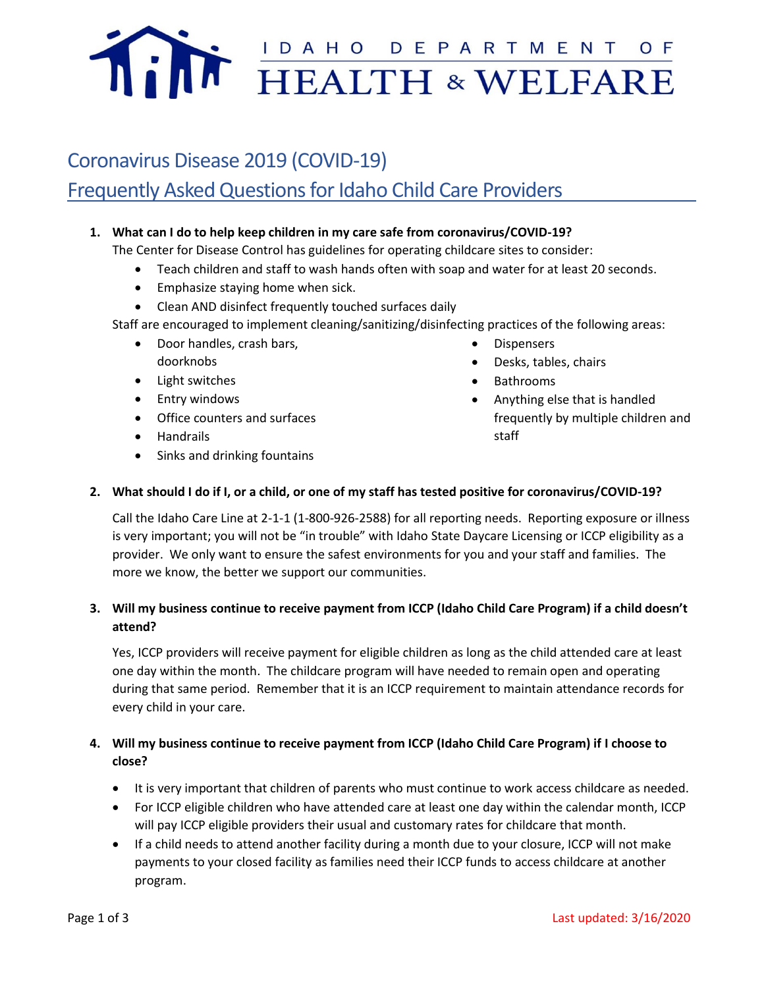

# Coronavirus Disease 2019 (COVID-19) Frequently Asked Questions for Idaho Child Care Providers

## **1. What can I do to help keep children in my care safe from coronavirus/COVID-19?**

The Center for Disease Control has guidelines for operating childcare sites to consider:

- Teach children and staff to wash hands often with soap and water for at least 20 seconds.
- Emphasize staying home when sick.
- Clean AND disinfect frequently touched surfaces daily
- Staff are encouraged to implement cleaning/sanitizing/disinfecting practices of the following areas:
	- Door handles, crash bars, doorknobs
	- Light switches
	- Entry windows
	- Office counters and surfaces
	- Handrails
	- Sinks and drinking fountains
- **Dispensers**
- Desks, tables, chairs
- Bathrooms
- Anything else that is handled frequently by multiple children and staff

#### **2. What should I do if I, or a child, or one of my staff has tested positive for coronavirus/COVID-19?**

Call the Idaho Care Line at 2-1-1 (1-800-926-2588) for all reporting needs. Reporting exposure or illness is very important; you will not be "in trouble" with Idaho State Daycare Licensing or ICCP eligibility as a provider. We only want to ensure the safest environments for you and your staff and families. The more we know, the better we support our communities.

# **3. Will my business continue to receive payment from ICCP (Idaho Child Care Program) if a child doesn't attend?**

Yes, ICCP providers will receive payment for eligible children as long as the child attended care at least one day within the month. The childcare program will have needed to remain open and operating during that same period. Remember that it is an ICCP requirement to maintain attendance records for every child in your care.

# **4. Will my business continue to receive payment from ICCP (Idaho Child Care Program) if I choose to close?**

- It is very important that children of parents who must continue to work access childcare as needed.
- For ICCP eligible children who have attended care at least one day within the calendar month, ICCP will pay ICCP eligible providers their usual and customary rates for childcare that month.
- If a child needs to attend another facility during a month due to your closure, ICCP will not make payments to your closed facility as families need their ICCP funds to access childcare at another program.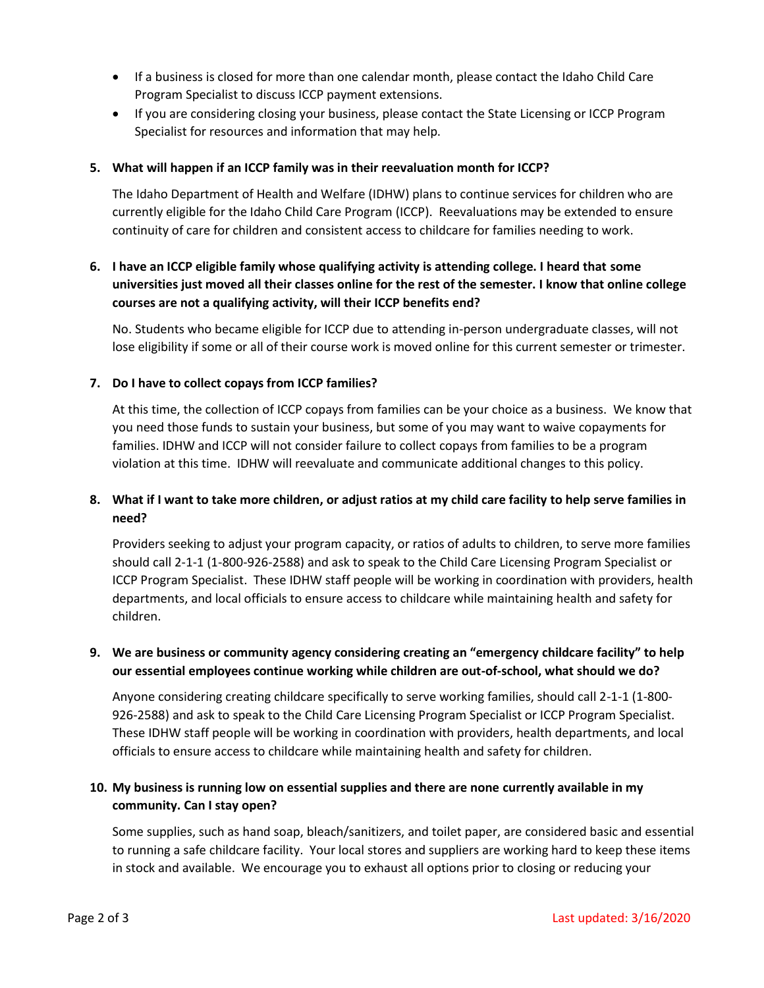- If a business is closed for more than one calendar month, please contact the Idaho Child Care Program Specialist to discuss ICCP payment extensions.
- If you are considering closing your business, please contact the State Licensing or ICCP Program Specialist for resources and information that may help.

### **5. What will happen if an ICCP family was in their reevaluation month for ICCP?**

The Idaho Department of Health and Welfare (IDHW) plans to continue services for children who are currently eligible for the Idaho Child Care Program (ICCP). Reevaluations may be extended to ensure continuity of care for children and consistent access to childcare for families needing to work.

# **6. I have an ICCP eligible family whose qualifying activity is attending college. I heard that some universities just moved all their classes online for the rest of the semester. I know that online college courses are not a qualifying activity, will their ICCP benefits end?**

No. Students who became eligible for ICCP due to attending in-person undergraduate classes, will not lose eligibility if some or all of their course work is moved online for this current semester or trimester.

#### **7. Do I have to collect copays from ICCP families?**

At this time, the collection of ICCP copays from families can be your choice as a business. We know that you need those funds to sustain your business, but some of you may want to waive copayments for families. IDHW and ICCP will not consider failure to collect copays from families to be a program violation at this time. IDHW will reevaluate and communicate additional changes to this policy.

## **8. What if I want to take more children, or adjust ratios at my child care facility to help serve families in need?**

Providers seeking to adjust your program capacity, or ratios of adults to children, to serve more families should call 2-1-1 (1-800-926-2588) and ask to speak to the Child Care Licensing Program Specialist or ICCP Program Specialist. These IDHW staff people will be working in coordination with providers, health departments, and local officials to ensure access to childcare while maintaining health and safety for children.

# **9. We are business or community agency considering creating an "emergency childcare facility" to help our essential employees continue working while children are out-of-school, what should we do?**

Anyone considering creating childcare specifically to serve working families, should call 2-1-1 (1-800- 926-2588) and ask to speak to the Child Care Licensing Program Specialist or ICCP Program Specialist. These IDHW staff people will be working in coordination with providers, health departments, and local officials to ensure access to childcare while maintaining health and safety for children.

# **10. My business is running low on essential supplies and there are none currently available in my community. Can I stay open?**

Some supplies, such as hand soap, bleach/sanitizers, and toilet paper, are considered basic and essential to running a safe childcare facility. Your local stores and suppliers are working hard to keep these items in stock and available. We encourage you to exhaust all options prior to closing or reducing your